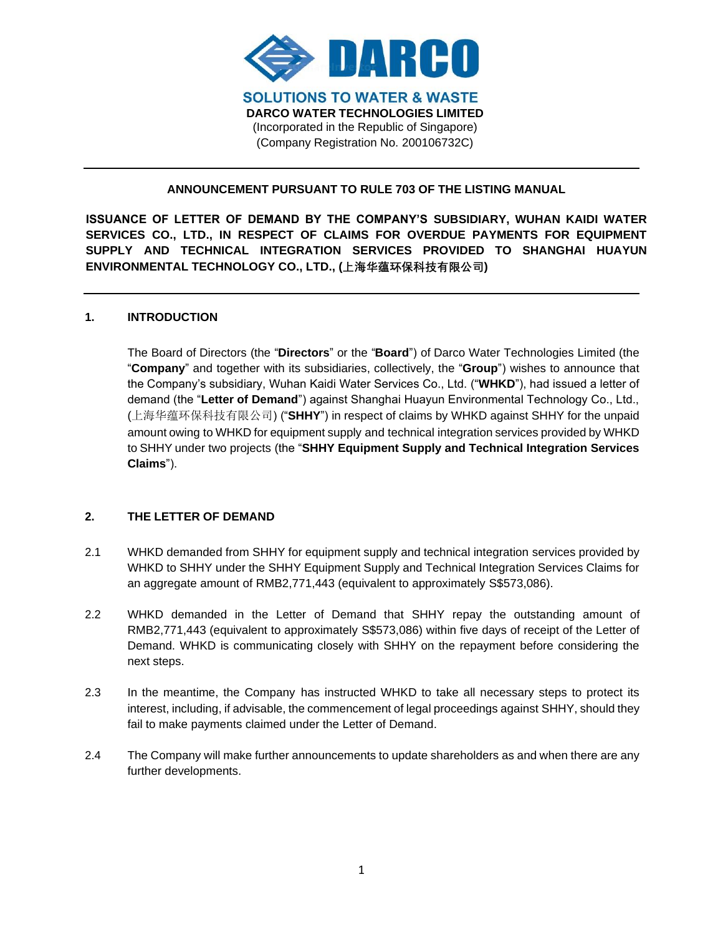

## **ANNOUNCEMENT PURSUANT TO RULE 703 OF THE LISTING MANUAL**

**ISSUANCE OF LETTER OF DEMAND BY THE COMPANY'S SUBSIDIARY, WUHAN KAIDI WATER SERVICES CO., LTD., IN RESPECT OF CLAIMS FOR OVERDUE PAYMENTS FOR EQUIPMENT SUPPLY AND TECHNICAL INTEGRATION SERVICES PROVIDED TO SHANGHAI HUAYUN ENVIRONMENTAL TECHNOLOGY CO., LTD., (上海华蕴环保科技有限公司)**

### **1. INTRODUCTION**

The Board of Directors (the "**Directors**" or the "**Board**") of Darco Water Technologies Limited (the "**Company**" and together with its subsidiaries, collectively, the "**Group**") wishes to announce that the Company's subsidiary, Wuhan Kaidi Water Services Co., Ltd. ("**WHKD**"), had issued a letter of demand (the "**Letter of Demand**") against Shanghai Huayun Environmental Technology Co., Ltd., (上海华蕴环保科技有限公司) ("**SHHY**") in respect of claims by WHKD against SHHY for the unpaid amount owing to WHKD for equipment supply and technical integration services provided by WHKD to SHHY under two projects (the "**SHHY Equipment Supply and Technical Integration Services Claims**").

#### **2. THE LETTER OF DEMAND**

- 2.1 WHKD demanded from SHHY for equipment supply and technical integration services provided by WHKD to SHHY under the SHHY Equipment Supply and Technical Integration Services Claims for an aggregate amount of RMB2,771,443 (equivalent to approximately S\$573,086).
- 2.2 WHKD demanded in the Letter of Demand that SHHY repay the outstanding amount of RMB2,771,443 (equivalent to approximately S\$573,086) within five days of receipt of the Letter of Demand. WHKD is communicating closely with SHHY on the repayment before considering the next steps.
- 2.3 In the meantime, the Company has instructed WHKD to take all necessary steps to protect its interest, including, if advisable, the commencement of legal proceedings against SHHY, should they fail to make payments claimed under the Letter of Demand.
- 2.4 The Company will make further announcements to update shareholders as and when there are any further developments.